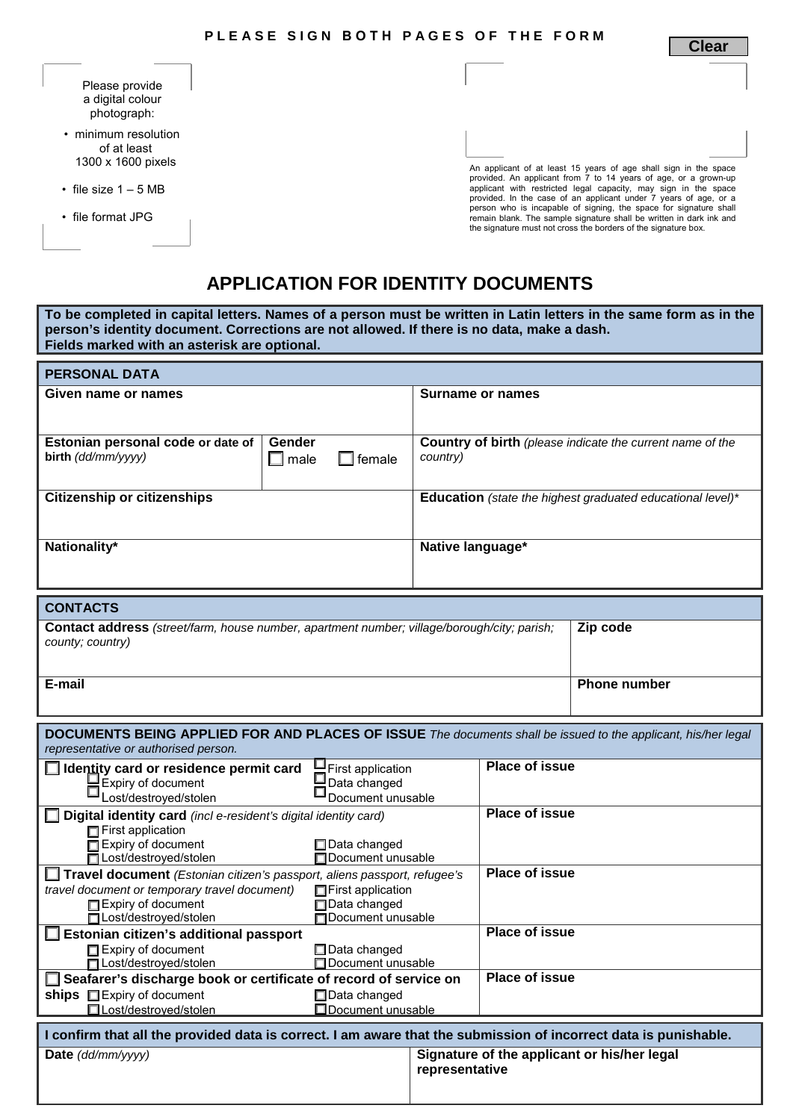**Clear**

| Please provide   |  |  |  |  |
|------------------|--|--|--|--|
| a digital colour |  |  |  |  |
| photograph:      |  |  |  |  |

- minimum resolution of at least 1300 x 1600 pixels
- file size  $1 5$  MB
- file format JPG

An applicant of at least 15 years of age shall sign in the space<br>provided. An applicant from 7 to 14 years of age, or a grown-up<br>applicant with restricted legal capacity, may sign in the space<br>provided. In the case of an a person who is incapable of signing, the space for signature shall remain blank. The sample signature shall be written in dark ink and the signature must not cross the borders of the signature box.

## **APPLICATION FOR IDENTITY DOCUMENTS**

**To be completed in capital letters. Names of a person must be written in Latin letters in the same form as in the person's identity document. Corrections are not allowed. If there is no data, make a dash. Fields marked with an asterisk are optional.**

| <b>PERSONAL DATA</b>                                                                                                                                                                                   |                                                        |                                                                              |                       |                                             |  |
|--------------------------------------------------------------------------------------------------------------------------------------------------------------------------------------------------------|--------------------------------------------------------|------------------------------------------------------------------------------|-----------------------|---------------------------------------------|--|
| Given name or names                                                                                                                                                                                    |                                                        | Surname or names                                                             |                       |                                             |  |
| Estonian personal code or date of<br>birth (dd/mm/yyyy)                                                                                                                                                | Gender<br>$\square$ male<br>female                     | <b>Country of birth</b> (please indicate the current name of the<br>country) |                       |                                             |  |
| <b>Citizenship or citizenships</b>                                                                                                                                                                     |                                                        | Education (state the highest graduated educational level)*                   |                       |                                             |  |
| Nationality*                                                                                                                                                                                           |                                                        | Native language*                                                             |                       |                                             |  |
| <b>CONTACTS</b>                                                                                                                                                                                        |                                                        |                                                                              |                       |                                             |  |
| Zip code<br>Contact address (street/farm, house number, apartment number; village/borough/city; parish;<br>county; country)                                                                            |                                                        |                                                                              |                       |                                             |  |
| E-mail                                                                                                                                                                                                 |                                                        |                                                                              |                       | <b>Phone number</b>                         |  |
| DOCUMENTS BEING APPLIED FOR AND PLACES OF ISSUE The documents shall be issued to the applicant, his/her legal<br>representative or authorised person.                                                  |                                                        |                                                                              |                       |                                             |  |
| I Identity card or residence permit card<br>Expiry of document<br>Lost/destroyed/stolen                                                                                                                | First application<br>Data changed<br>Document unusable |                                                                              | <b>Place of issue</b> |                                             |  |
| $\Box$ Digital identity card (incl e-resident's digital identity card)<br>$\Box$ First application<br>$\Box$ Expiry of document<br>$\Box$ Data changed                                                 |                                                        |                                                                              | <b>Place of issue</b> |                                             |  |
| □ Lost/destroyed/stolen<br>□ Travel document (Estonian citizen's passport, aliens passport, refugee's<br>travel document or temporary travel document)<br>Expiry of document<br>□Lost/destroyed/stolen | Data changed                                           | Document unusable<br>First application<br><b>In Document unusable</b>        |                       | <b>Place of issue</b>                       |  |
| Estonian citizen's additional passport<br>Expiry of document<br>Data changed<br>$\Box$ Document unusable<br> ⊟ Lost/destroyed/stolen                                                                   |                                                        | <b>Place of issue</b><br><b>Place of issue</b>                               |                       |                                             |  |
| Seafarer's discharge book or certificate of record of service on<br>ships Expiry of document<br>□Lost/destroyed/stolen                                                                                 | Data changed                                           | Document unusable                                                            |                       |                                             |  |
| I confirm that all the provided data is correct. I am aware that the submission of incorrect data is punishable.                                                                                       |                                                        |                                                                              |                       |                                             |  |
| Date (dd/mm/yyyy)                                                                                                                                                                                      |                                                        | representative                                                               |                       | Signature of the applicant or his/her legal |  |